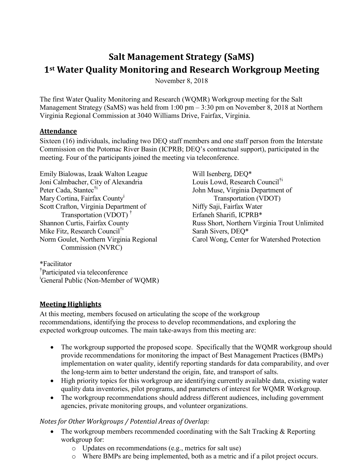# **Salt Management Strategy (SaMS) 1st Water Quality Monitoring and Research Workgroup Meeting**

November 8, 2018

The first Water Quality Monitoring and Research (WQMR) Workgroup meeting for the Salt Management Strategy (SaMS) was held from 1:00 pm – 3:30 pm on November 8, 2018 at Northern Virginia Regional Commission at 3040 Williams Drive, Fairfax, Virginia.

#### **Attendance**

Sixteen (16) individuals, including two DEQ staff members and one staff person from the Interstate Commission on the Potomac River Basin (ICPRB; DEQ's contractual support), participated in the meeting. Four of the participants joined the meeting via teleconference.

Emily Bialowas, Izaak Walton League Joni Calmbacher, City of Alexandria Peter Cada, Stantec<sup>†i</sup> Mary Cortina, Fairfax County<sup>1</sup> Scott Crafton, Virginia Department of Transportation (VDOT) † Shannon Curtis, Fairfax County Mike Fitz, Research Council<sup>†i</sup> Norm Goulet, Northern Virginia Regional Commission (NVRC)

Will Isenberg, DEQ\* Louis Lowd, Research Council<sup>†i</sup> John Muse, Virginia Department of Transportation (VDOT) Niffy Saji, Fairfax Water Erfaneh Sharifi, ICPRB\* Russ Short, Northern Virginia Trout Unlimited Sarah Sivers, DEQ\* Carol Wong, Center for Watershed Protection

\*Facilitator † Participated via teleconference <sup>i</sup>General Public (Non-Member of WQMR)

# **Meeting Highlights**

At this meeting, members focused on articulating the scope of the workgroup recommendations, identifying the process to develop recommendations, and exploring the expected workgroup outcomes. The main take-aways from this meeting are:

- The workgroup supported the proposed scope. Specifically that the WQMR workgroup should provide recommendations for monitoring the impact of Best Management Practices (BMPs) implementation on water quality, identify reporting standards for data comparability, and over the long-term aim to better understand the origin, fate, and transport of salts.
- High priority topics for this workgroup are identifying currently available data, existing water quality data inventories, pilot programs, and parameters of interest for WQMR Workgroup.
- The workgroup recommendations should address different audiences, including government agencies, private monitoring groups, and volunteer organizations.

#### *Notes for Other Workgroups / Potential Areas of Overlap:*

- The workgroup members recommended coordinating with the Salt Tracking & Reporting workgroup for:
	- o Updates on recommendations (e.g., metrics for salt use)
	- o Where BMPs are being implemented, both as a metric and if a pilot project occurs.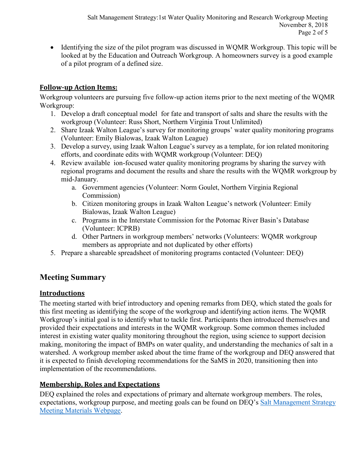Identifying the size of the pilot program was discussed in WQMR Workgroup. This topic will be looked at by the Education and Outreach Workgroup. A homeowners survey is a good example of a pilot program of a defined size.

#### **Follow-up Action Items:**

Workgroup volunteers are pursuing five follow-up action items prior to the next meeting of the WQMR Workgroup:

- 1. Develop a draft conceptual model for fate and transport of salts and share the results with the workgroup (Volunteer: Russ Short, Northern Virginia Trout Unlimited)
- 2. Share Izaak Walton League's survey for monitoring groups' water quality monitoring programs (Volunteer: Emily Bialowas, Izaak Walton League)
- 3. Develop a survey, using Izaak Walton League's survey as a template, for ion related monitoring efforts, and coordinate edits with WQMR workgroup (Volunteer: DEQ)
- 4. Review available ion-focused water quality monitoring programs by sharing the survey with regional programs and document the results and share the results with the WQMR workgroup by mid-January.
	- a. Government agencies (Volunteer: Norm Goulet, Northern Virginia Regional Commission)
	- b. Citizen monitoring groups in Izaak Walton League's network (Volunteer: Emily Bialowas, Izaak Walton League)
	- c. Programs in the Interstate Commission for the Potomac River Basin's Database (Volunteer: ICPRB)
	- d. Other Partners in workgroup members' networks (Volunteers: WQMR workgroup members as appropriate and not duplicated by other efforts)
- 5. Prepare a shareable spreadsheet of monitoring programs contacted (Volunteer: DEQ)

# **Meeting Summary**

# **Introductions**

The meeting started with brief introductory and opening remarks from DEQ, which stated the goals for this first meeting as identifying the scope of the workgroup and identifying action items. The WQMR Workgroup's initial goal is to identify what to tackle first. Participants then introduced themselves and provided their expectations and interests in the WQMR workgroup. Some common themes included interest in existing water quality monitoring throughout the region, using science to support decision making, monitoring the impact of BMPs on water quality, and understanding the mechanics of salt in a watershed. A workgroup member asked about the time frame of the workgroup and DEQ answered that it is expected to finish developing recommendations for the SaMS in 2020, transitioning then into implementation of the recommendations.

#### **Membership, Roles and Expectations**

DEQ explained the roles and expectations of primary and alternate workgroup members. The roles, expectations, workgroup purpose, and meeting goals can be found on DEQ's [Salt Management Strategy](https://www.deq.virginia.gov/SaMS/MeetingMaterials.aspx)  [Meeting Materials Webpage.](https://www.deq.virginia.gov/SaMS/MeetingMaterials.aspx)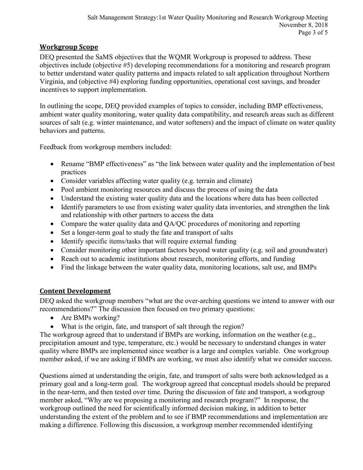### **Workgroup Scope**

DEQ presented the SaMS objectives that the WQMR Workgroup is proposed to address. These objectives include (objective #5) developing recommendations for a monitoring and research program to better understand water quality patterns and impacts related to salt application throughout Northern Virginia, and (objective #4) exploring funding opportunities, operational cost savings, and broader incentives to support implementation.

In outlining the scope, DEQ provided examples of topics to consider, including BMP effectiveness, ambient water quality monitoring, water quality data compatibility, and research areas such as different sources of salt (e.g. winter maintenance, and water softeners) and the impact of climate on water quality behaviors and patterns.

Feedback from workgroup members included:

- Rename "BMP effectiveness" as "the link between water quality and the implementation of best practices
- Consider variables affecting water quality (e.g. terrain and climate)
- Pool ambient monitoring resources and discuss the process of using the data
- Understand the existing water quality data and the locations where data has been collected
- Identify parameters to use from existing water quality data inventories, and strengthen the link and relationship with other partners to access the data
- Compare the water quality data and QA/QC procedures of monitoring and reporting
- Set a longer-term goal to study the fate and transport of salts
- Identify specific items/tasks that will require external funding
- Consider monitoring other important factors beyond water quality (e.g. soil and groundwater)
- Reach out to academic institutions about research, monitoring efforts, and funding
- Find the linkage between the water quality data, monitoring locations, salt use, and BMPs

# **Content Development**

DEQ asked the workgroup members "what are the over-arching questions we intend to answer with our recommendations?" The discussion then focused on two primary questions:

- Are BMPs working?
- What is the origin, fate, and transport of salt through the region?

The workgroup agreed that to understand if BMPs are working, information on the weather (e.g., precipitation amount and type, temperature, etc.) would be necessary to understand changes in water quality where BMPs are implemented since weather is a large and complex variable. One workgroup member asked, if we are asking if BMPs are working, we must also identify what we consider success.

Questions aimed at understanding the origin, fate, and transport of salts were both acknowledged as a primary goal and a long-term goal. The workgroup agreed that conceptual models should be prepared in the near-term, and then tested over time. During the discussion of fate and transport, a workgroup member asked, "Why are we proposing a monitoring and research program?" In response, the workgroup outlined the need for scientifically informed decision making, in addition to better understanding the extent of the problem and to see if BMP recommendations and implementation are making a difference. Following this discussion, a workgroup member recommended identifying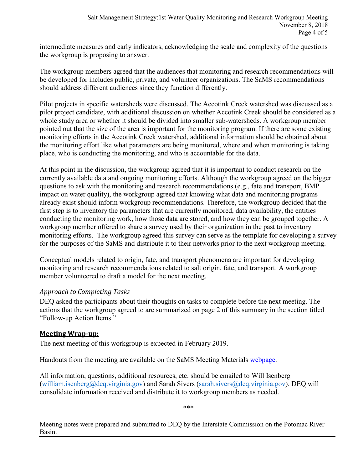intermediate measures and early indicators, acknowledging the scale and complexity of the questions the workgroup is proposing to answer.

The workgroup members agreed that the audiences that monitoring and research recommendations will be developed for includes public, private, and volunteer organizations. The SaMS recommendations should address different audiences since they function differently.

Pilot projects in specific watersheds were discussed. The Accotink Creek watershed was discussed as a pilot project candidate, with additional discussion on whether Accotink Creek should be considered as a whole study area or whether it should be divided into smaller sub-watersheds. A workgroup member pointed out that the size of the area is important for the monitoring program. If there are some existing monitoring efforts in the Accotink Creek watershed, additional information should be obtained about the monitoring effort like what parameters are being monitored, where and when monitoring is taking place, who is conducting the monitoring, and who is accountable for the data.

At this point in the discussion, the workgroup agreed that it is important to conduct research on the currently available data and ongoing monitoring efforts. Although the workgroup agreed on the bigger questions to ask with the monitoring and research recommendations (e.g., fate and transport, BMP impact on water quality), the workgroup agreed that knowing what data and monitoring programs already exist should inform workgroup recommendations. Therefore, the workgroup decided that the first step is to inventory the parameters that are currently monitored, data availability, the entities conducting the monitoring work, how those data are stored, and how they can be grouped together. A workgroup member offered to share a survey used by their organization in the past to inventory monitoring efforts. The workgroup agreed this survey can serve as the template for developing a survey for the purposes of the SaMS and distribute it to their networks prior to the next workgroup meeting.

Conceptual models related to origin, fate, and transport phenomena are important for developing monitoring and research recommendations related to salt origin, fate, and transport. A workgroup member volunteered to draft a model for the next meeting.

#### *Approach to Completing Tasks*

DEQ asked the participants about their thoughts on tasks to complete before the next meeting. The actions that the workgroup agreed to are summarized on page 2 of this summary in the section titled "Follow-up Action Items."

#### **Meeting Wrap-up:**

The next meeting of this workgroup is expected in February 2019.

Handouts from the meeting are available on the SaMS Meeting Materials [webpage.](https://www.deq.virginia.gov/SaMS/MeetingMaterials.aspx)

All information, questions, additional resources, etc. should be emailed to Will Isenberg [\(william.isenberg@deq.virginia.gov\)](mailto:william.isenberg@deq.virginia.gov) and Sarah Sivers [\(sarah.sivers@deq.virginia.gov\)](mailto:sarah.sivers@deq.virginia.gov). DEQ will consolidate information received and distribute it to workgroup members as needed.

\*\*\*

Meeting notes were prepared and submitted to DEQ by the Interstate Commission on the Potomac River Basin.